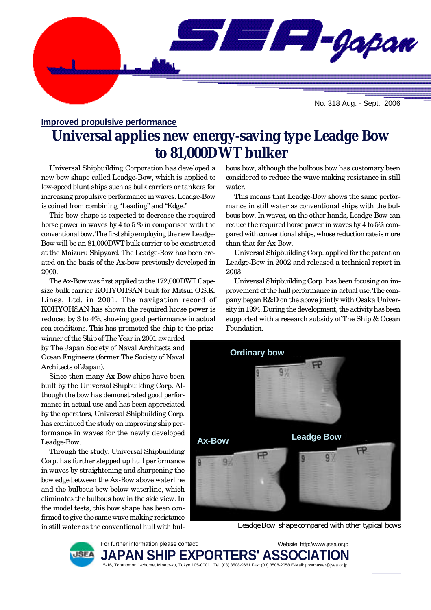

#### **Improved propulsive performance**

# **Universal applies new energy-saving type Leadge Bow to 81,000DWT bulker**

Universal Shipbuilding Corporation has developed a new bow shape called Leadge-Bow, which is applied to low-speed blunt ships such as bulk carriers or tankers for increasing propulsive performance in waves. Leadge-Bow is coined from combining "Leading" and "Edge."

This bow shape is expected to decrease the required horse power in waves by 4 to 5 % in comparison with the conventional bow. The first ship employing the new Leadge-Bow will be an 81,000DWT bulk carrier to be constructed at the Maizuru Shipyard. The Leadge-Bow has been created on the basis of the Ax-bow previously developed in 2000.

The Ax-Bow was first applied to the 172,000DWT Capesize bulk carrier KOHYOHSAN built for Mitsui O.S.K. Lines, Ltd. in 2001. The navigation record of KOHYOHSAN has shown the required horse power is reduced by 3 to 4%, showing good performance in actual sea conditions. This has promoted the ship to the prize-

winner of the Ship of The Year in 2001 awarded by The Japan Society of Naval Architects and Ocean Engineers (former The Society of Naval Architects of Japan).

Since then many Ax-Bow ships have been built by the Universal Shipbuilding Corp. Although the bow has demonstrated good performance in actual use and has been appreciated by the operators, Universal Shipbuilding Corp. has continued the study on improving ship performance in waves for the newly developed Leadge-Bow.

Through the study, Universal Shipbuilding Corp. has further stepped up hull performance in waves by straightening and sharpening the bow edge between the Ax-Bow above waterline and the bulbous bow below waterline, which eliminates the bulbous bow in the side view. In the model tests, this bow shape has been confirmed to give the same wave making resistance in still water as the conventional hull with bulbous bow, although the bulbous bow has customary been considered to reduce the wave making resistance in still water.

This means that Leadge-Bow shows the same performance in still water as conventional ships with the bulbous bow. In waves, on the other hands, Leadge-Bow can reduce the required horse power in waves by 4 to 5% compared with conventional ships, whose reduction rate is more than that for Ax-Bow.

Universal Shipbuilding Corp. applied for the patent on Leadge-Bow in 2002 and released a technical report in 2003.

Universal Shipbuilding Corp. has been focusing on improvement of the hull performance in actual use. The company began R&D on the above jointly with Osaka University in 1994. During the development, the activity has been supported with a research subsidy of The Ship & Ocean Foundation.



*Leadge Bow shape compared with other typical bows*



For further information please contact: PAN SHIP EXPORTERS' ASS( 15-16, Toranomon 1-chome, Minato-ku, Tokyo 105-0001 Tel: (03) 3508-9661 Fax: (03) 3508-2058 E-Mail: postmaster@jsea.or.jp Website: http://www.jsea.or.jp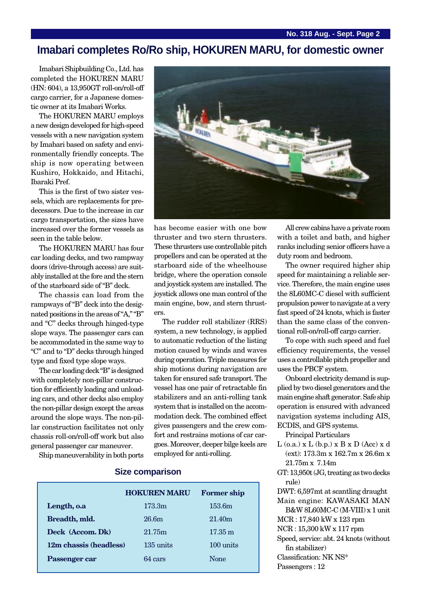## **Imabari completes Ro/Ro ship, HOKUREN MARU, for domestic owner**

Imabari Shipbuilding Co., Ltd. has completed the HOKUREN MARU (HN: 604), a 13,950GT roll-on/roll-off cargo carrier, for a Japanese domestic owner at its Imabari Works.

The HOKUREN MARU employs a new design developed for high-speed vessels with a new navigation system by Imabari based on safety and environmentally friendly concepts. The ship is now operating between Kushiro, Hokkaido, and Hitachi, Ibaraki Pref.

This is the first of two sister vessels, which are replacements for predecessors. Due to the increase in car cargo transportation, the sizes have increased over the former vessels as seen in the table below.

The HOKUREN MARU has four car loading decks, and two rampway doors (drive-through access) are suitably installed at the fore and the stern of the starboard side of "B" deck.

The chassis can load from the rampways of "B" deck into the designated positions in the areas of "A," "B" and "C" decks through hinged-type slope ways. The passenger cars can be accommodated in the same way to "C" and to "D" decks through hinged type and fixed type slope ways.

The car loading deck "B" is designed with completely non-pillar construction for efficiently loading and unloading cars, and other decks also employ the non-pillar design except the areas around the slope ways. The non-pillar construction facilitates not only chassis roll-on/roll-off work but also general passenger car maneuver.

Ship maneuverability in both ports



has become easier with one bow thruster and two stern thrusters. These thrusters use controllable pitch propellers and can be operated at the starboard side of the wheelhouse bridge, where the operation console and joystick system are installed. The joystick allows one man control of the main engine, bow, and stern thrusters.

The rudder roll stabilizer (RRS) system, a new technology, is applied to automatic reduction of the listing motion caused by winds and waves during operation. Triple measures for ship motions during navigation are taken for ensured safe transport. The vessel has one pair of retractable fin stabilizers and an anti-rolling tank system that is installed on the accommodation deck. The combined effect gives passengers and the crew comfort and restrains motions of car cargoes. Moreover, deeper bilge keels are employed for anti-rolling.

All crew cabins have a private room with a toilet and bath, and higher ranks including senior officers have a duty room and bedroom.

The owner required higher ship speed for maintaining a reliable service. Therefore, the main engine uses the 8L60MC-C diesel with sufficient propulsion power to navigate at a very fast speed of 24 knots, which is faster than the same class of the conventional roll-on/roll-off cargo carrier.

To cope with such speed and fuel efficiency requirements, the vessel uses a controllable pitch propeller and uses the PBCF system.

Onboard electricity demand is supplied by two diesel generators and the main engine shaft generator. Safe ship operation is ensured with advanced navigation systems including AIS, ECDIS, and GPS systems.

Principal Particulars

- $L$  (o.a.)  $x L$  (b.p.)  $x B x D$  (Acc)  $x d$ (ext): 173.3m x 162.7m x 26.6m x 21.75m x 7.14m
- GT: 13,950t (JG, treating as two decks rule)

DWT: 6,597mt at scantling draught Main engine: KAWASAKI MAN

B&W 8L60MC-C (M-VIII) x 1 unit MCR : 17,840 kW x 123 rpm

NCR : 15,300 kW x 117 rpm

Speed, service: abt. 24 knots (without fin stabilizer)

Classification: NK NS\*

Passengers : 12

#### **Size comparison**

|                        | <b>HOKUREN MARU</b> | <b>Former ship</b> |
|------------------------|---------------------|--------------------|
| Length, o.a            | 173.3m              | 153.6m             |
| Breadth, mld.          | 26.6m               | 21.40 <sub>m</sub> |
| Deck (Accom. Dk)       | 21.75m              | $17.35 \text{ m}$  |
| 12m chassis (headless) | 135 units           | 100 units          |
| Passenger car          | 64 cars             | <b>None</b>        |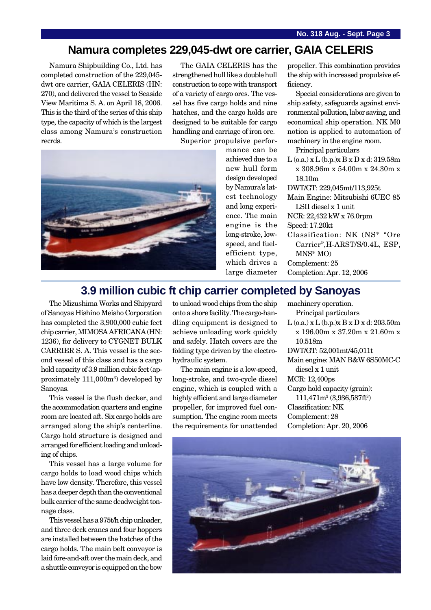### **Namura completes 229,045-dwt ore carrier, GAIA CELERIS**

Namura Shipbuilding Co., Ltd. has completed construction of the 229,045 dwt ore carrier, GAIA CELERIS (HN: 270), and delivered the vessel to Seaside View Maritima S. A. on April 18, 2006. This is the third of the series of this ship type, the capacity of which is the largest class among Namura's construction recrds.

The GAIA CELERIS has the strengthened hull like a double hull construction to cope with transport of a variety of cargo ores. The vessel has five cargo holds and nine hatches, and the cargo holds are designed to be suitable for cargo handling and carriage of iron ore.

Superior propulsive perfor-



mance can be achieved due to a new hull form design developed by Namura's latest technology and long experience. The main engine is the long-stroke, lowspeed, and fuelefficient type, which drives a large diameter propeller. This combination provides the ship with increased propulsive efficiency.

Special considerations are given to ship safety, safeguards against environmental pollution, labor saving, and economical ship operation. NK M0 notion is applied to automation of machinery in the engine room.

Principal particulars

L (o.a.) x L (b.p.)x B x D x d: 319.58m x 308.96m x 54.00m x 24.30m x 18.10m

DWT/GT: 229,045mt/113,925t

Main Engine: Mitsubishi 6UEC 85 LSII diesel x 1 unit

NCR: 22,432 kW x 76.0rpm

- Speed: 17.20kt
- Classification: NK (NS\* "Ore Carrier",H-ARST/S/0.4L, ESP, MNS\* MO) Complement: 25

Completion: Apr. 12, 2006

# **3.9 million cubic ft chip carrier completed by Sanoyas**

The Mizushima Works and Shipyard of Sanoyas Hishino Meisho Corporation has completed the 3,900,000 cubic feet chip carrier, MIMOSA AFRICANA (HN: 1236), for delivery to CYGNET BULK CARRIER S. A. This vessel is the second vessel of this class and has a cargo hold capacity of 3.9 million cubic feet (approximately 111,000m<sup>3</sup>) developed by Sanoyas.

This vessel is the flush decker, and the accommodation quarters and engine room are located aft. Six cargo holds are arranged along the ship's centerline. Cargo hold structure is designed and arranged for efficient loading and unloading of chips.

This vessel has a large volume for cargo holds to load wood chips which have low density. Therefore, this vessel has a deeper depth than the conventional bulk carrier of the same deadweight tonnage class.

This vessel has a 975t/h chip unloader, and three deck cranes and four hoppers are installed between the hatches of the cargo holds. The main belt conveyor is laid fore-and-aft over the main deck, and a shuttle conveyor is equipped on the bow

to unload wood chips from the ship onto a shore facility. The cargo-handling equipment is designed to achieve unloading work quickly and safely. Hatch covers are the folding type driven by the electrohydraulic system.

The main engine is a low-speed, long-stroke, and two-cycle diesel engine, which is coupled with a highly efficient and large diameter propeller, for improved fuel consumption. The engine room meets the requirements for unattended machinery operation. Principal particulars  $L$  (o.a.) x  $L$  (b.p.)x  $B \times D \times d$ : 203.50m x 196.00m x 37.20m x 21.60m x 10.518m DWT/GT: 52,001mt/45,011t Main engine: MAN B&W 6S50MC-C diesel x 1 unit MCR: 12,400ps Cargo hold capacity (grain):  $111,471m^3(3,936,587ft^3)$ Classification: NK Complement: 28 Completion: Apr. 20, 2006

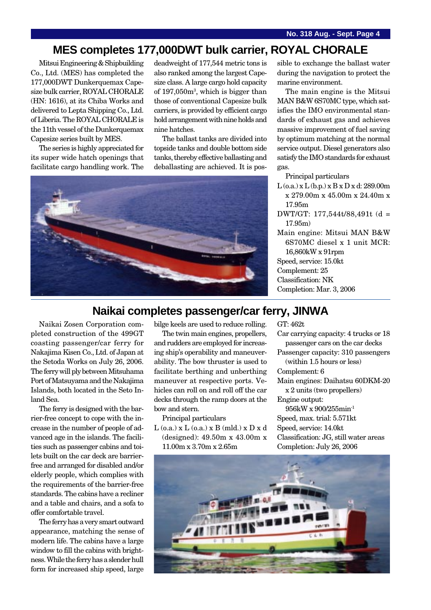## **MES completes 177,000DWT bulk carrier, ROYAL CHORALE**

Mitsui Engineering & Shipbuilding Co., Ltd. (MES) has completed the 177,000DWT Dunkerquemax Capesize bulk carrier, ROYAL CHORALE (HN: 1616), at its Chiba Works and delivered to Lepta Shipping Co., Ltd. of Liberia. The ROYAL CHORALE is the 11th vessel of the Dunkerquemax Capesize series built by MES.

The series is highly appreciated for its super wide hatch openings that facilitate cargo handling work. The

deadweight of 177,544 metric tons is also ranked among the largest Capesize class. A large cargo hold capacity of 197,050m3 , which is bigger than those of conventional Capesize bulk carriers, is provided by efficient cargo hold arrangement with nine holds and nine hatches.

The ballast tanks are divided into topside tanks and double bottom side tanks, thereby effective ballasting and deballasting are achieved. It is pos-



sible to exchange the ballast water during the navigation to protect the marine environment.

The main engine is the Mitsui MAN B&W 6S70MC type, which satisfies the IMO environmental standards of exhaust gas and achieves massive improvement of fuel saving by optimum matching at the normal service output. Diesel generators also satisfy the IMO standards for exhaust gas.

Principal particulars

- L (o.a.) x L (b.p.) x B x D x d: 289.00m x 279.00m x 45.00m x 24.40m x 17.95m
- DWT/GT: 177,544t/88,491t (d = 17.95m)
- Main engine: Mitsui MAN B&W 6S70MC diesel x 1 unit MCR: 16,860kW x 91rpm Speed, service: 15.0kt

Complement: 25

- Classification: NK
- Completion: Mar. 3, 2006

#### **Naikai completes passenger/car ferry, JINWA**

Naikai Zosen Corporation completed construction of the 499GT coasting passenger/car ferry for Nakajima Kisen Co., Ltd. of Japan at the Setoda Works on July 26, 2006. The ferry will ply between Mitsuhama Port of Matsuyama and the Nakajima Islands, both located in the Seto Inland Sea.

The ferry is designed with the barrier-free concept to cope with the increase in the number of people of advanced age in the islands. The facilities such as passenger cabins and toilets built on the car deck are barrierfree and arranged for disabled and/or elderly people, which complies with the requirements of the barrier-free standards. The cabins have a recliner and a table and chairs, and a sofa to offer comfortable travel.

The ferry has a very smart outward appearance, matching the sense of modern life. The cabins have a large window to fill the cabins with brightness. While the ferry has a slender hull form for increased ship speed, large

bilge keels are used to reduce rolling.

The twin main engines, propellers, and rudders are employed for increasing ship's operability and maneuverability. The bow thruster is used to facilitate berthing and unberthing maneuver at respective ports. Vehicles can roll on and roll off the car decks through the ramp doors at the bow and stern.

Principal particulars

L (o.a.) x L (o.a.) x B (mld.) x D x d (designed): 49.50m x 43.00m x 11.00m x 3.70m x 2.65m

GT: 462t

Car carrying capacity: 4 trucks or 18 passenger cars on the car decks

Passenger capacity: 310 passengers (within 1.5 hours or less)

Complement: 6

Main engines: Daihatsu 60DKM-20

x 2 units (two propellers) Engine output:

956kW x 900/255min-1 Speed, max. trial: 5.571kt Speed, service: 14.0kt Classification: JG, still water areas Completion: July 26, 2006

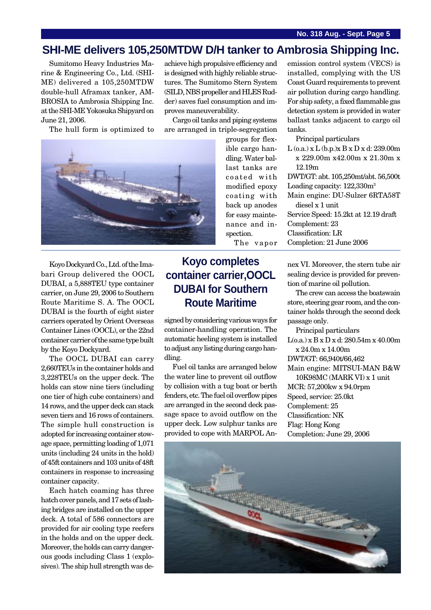### **SHI-ME delivers 105,250MTDW D/H tanker to Ambrosia Shipping Inc.**

Sumitomo Heavy Industries Marine & Engineering Co., Ltd. (SHI-ME) delivered a 105,250MTDW double-hull Aframax tanker, AM-BROSIA to Ambrosia Shipping Inc. at the SHI-ME Yokosuka Shipyard on June 21, 2006.

The hull form is optimized to

achieve high propulsive efficiency and is designed with highly reliable structures. The Sumitomo Stern System (SILD, NBS propeller and HLES Rudder) saves fuel consumption and improves maneuverability.

Cargo oil tanks and piping systems are arranged in triple-segregation



Koyo Dockyard Co., Ltd. of the Imabari Group delivered the OOCL DUBAI, a 5,888TEU type container carrier, on June 29, 2006 to Southern Route Maritime S. A. The OOCL DUBAI is the fourth of eight sister carriers operated by Orient Overseas Container Lines (OOCL), or the 22nd container carrier of the same type built by the Koyo Dockyard.

The OOCL DUBAI can carry 2,660TEUs in the container holds and 3,228TEUs on the upper deck. The holds can stow nine tiers (including one tier of high cube containers) and 14 rows, and the upper deck can stack seven tiers and 16 rows of containers. The simple hull construction is adopted for increasing container stowage space, permitting loading of 1,071 units (including 24 units in the hold) of 45ft containers and 103 units of 48ft containers in response to increasing container capacity.

Each hatch coaming has three hatch cover panels, and 17 sets of lashing bridges are installed on the upper deck. A total of 586 connectors are provided for air cooling type reefers in the holds and on the upper deck. Moreover, the holds can carry dangerous goods including Class 1 (explosives). The ship hull strength was degroups for flexible cargo handling. Water ballast tanks are coated with modified epoxy coating with back up anodes for easy maintenance and inspection. The vapor

# **Koyo completes container carrier,OOCL DUBAI for Southern Route Maritime**

signed by considering various ways for container-handling operation. The automatic heeling system is installed to adjust any listing during cargo handling.

Fuel oil tanks are arranged below the water line to prevent oil outflow by collision with a tug boat or berth fenders, etc. The fuel oil overflow pipes are arranged in the second deck passage space to avoid outflow on the upper deck. Low sulphur tanks are provided to cope with MARPOL Anemission control system (VECS) is installed, complying with the US Coast Guard requirements to prevent air pollution during cargo handling. For ship safety, a fixed flammable gas detection system is provided in water ballast tanks adjacent to cargo oil tanks.

Principal particulars

L (o.a.) x L (b.p.)x B x D x d: 239.00m x 229.00m x42.00m x 21.30m x 12.19m

DWT/GT: abt. 105,250mt/abt. 56,500t Loading capacity: 122,330m3

Main engine: DU-Sulzer 6RTA58T diesel x 1 unit

Service Speed: 15.2kt at 12.19 draft Complement: 23 Classification: LR

Completion: 21 June 2006

nex VI. Moreover, the stern tube air sealing device is provided for prevention of marine oil pollution.

The crew can access the boatswain store, steering gear room, and the container holds through the second deck passage only.

Principal particulars

L(o.a.) x B x D x d: 280.54m x 40.00m x 24.0m x 14.00m

DWT/GT: 66,940t/66,462

Main engine: MITSUI-MAN B&W 10K98MC (MARK VI) x 1 unit

MCR: 57,200kw x 94.0rpm Speed, service: 25.0kt Complement: 25 Classification: NK Flag: Hong Kong Completion: June 29, 2006